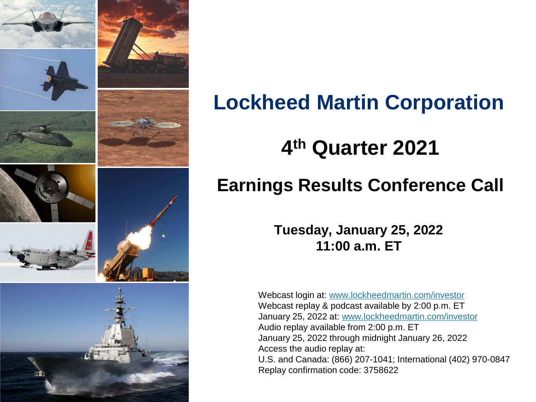

# **Lockheed Martin Corporation**

# **4 th Quarter 2021**

# **Earnings Results Conference Call**

**Tuesday, January 25, 2022 11:00 a.m. ET**

Webcast login at: [www.lockheedmartin.com/investor](http://www.lockheedmartin.com/investor) Webcast replay & podcast available by 2:00 p.m. ET January 25, 2022 at: [www.lockheedmartin.com/investor](http://www.lockheedmartin.com/investor) Audio replay available from 2:00 p.m. ET January 25, 2022 through midnight January 26, 2022 Access the audio replay at: U.S. and Canada: (866) 207-1041; International (402) 970-0847 Replay confirmation code: 3758622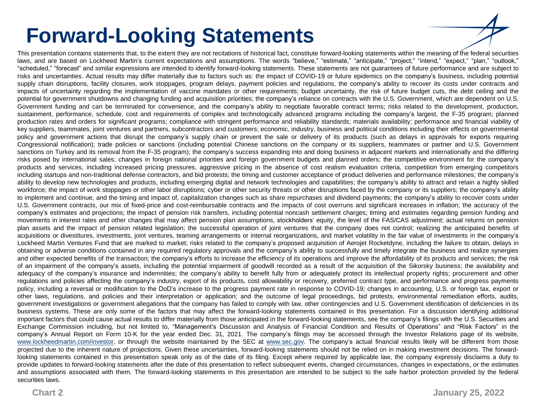# **Forward-Looking Statements**

This presentation contains statements that, to the extent they are not recitations of historical fact, constitute forward-looking statements within the meaning of the federal securities laws, and are based on Lockheed Martin's current expectations and assumptions. The words "believe," "estimate," "anticipate," "project," "intend," "expect," "plan," "outlook," "scheduled," "forecast" and similar expressions are intended to identify forward-looking statements. These statements are not guarantees of future performance and are subject to risks and uncertainties. Actual results may differ materially due to factors such as: the impact of COVID-19 or future epidemics on the company's business, including potential supply chain disruptions, facility closures, work stoppages, program delays, payment policies and regulations, the company's ability to recover its costs under contracts and impacts of uncertainty regarding the implementation of vaccine mandates or other requirements; budget uncertainty, the risk of future budget cuts, the debt ceiling and the potential for government shutdowns and changing funding and acquisition priorities; the company's reliance on contracts with the U.S. Government, which are dependent on U.S. Government funding and can be terminated for convenience, and the company's ability to negotiate favorable contract terms; risks related to the development, production, sustainment, performance, schedule, cost and requirements of complex and technologically advanced programs including the company's largest, the F-35 program; planned production rates and orders for significant programs; compliance with stringent performance and reliability standards; materials availability; performance and financial viability of key suppliers, teammates, joint ventures and partners, subcontractors and customers; economic, industry, business and political conditions including their effects on governmental policy and government actions that disrupt the company's supply chain or prevent the sale or delivery of its products (such as delays in approvals for exports requiring Congressional notification); trade policies or sanctions (including potential Chinese sanctions on the company or its suppliers, teammates or partner and U.S. Government sanctions on Turkey and its removal from the F-35 program); the company's success expanding into and doing business in adjacent markets and internationally and the differing risks posed by international sales; changes in foreign national priorities and foreign government budgets and planned orders; the competitive environment for the company's products and services, including increased pricing pressures, aggressive pricing in the absence of cost realism evaluation criteria, competition from emerging competitors including startups and non-traditional defense contractors, and bid protests; the timing and customer acceptance of product deliveries and performance milestones; the company's ability to develop new technologies and products, including emerging digital and network technologies and capabilities; the company's ability to attract and retain a highly skilled workforce; the impact of work stoppages or other labor disruptions; cyber or other security threats or other disruptions faced by the company or its suppliers; the company's ability to implement and continue, and the timing and impact of, capitalization changes such as share repurchases and dividend payments; the company's ability to recover costs under U.S. Government contracts, our mix of fixed-price and cost-reimbursable contracts and the impacts of cost overruns and significant increases in inflation; the accuracy of the company's estimates and projections; the impact of pension risk transfers, including potential noncash settlement charges; timing and estimates regarding pension funding and movements in interest rates and other changes that may affect pension plan assumptions, stockholders' equity, the level of the FAS/CAS adjustment; actual returns on pension plan assets and the impact of pension related legislation; the successful operation of joint ventures that the company does not control; realizing the anticipated benefits of acquisitions or divestitures, investments, joint ventures, teaming arrangements or internal reorganizations, and market volatility in the fair value of investments in the company's Lockheed Martin Ventures Fund that are marked to market; risks related to the company's proposed acquisition of Aerojet Rocketdyne, including the failure to obtain, delays in obtaining or adverse conditions contained in any required regulatory approvals and the company's ability to successfully and timely integrate the business and realize synergies and other expected benefits of the transaction; the company's efforts to increase the efficiency of its operations and improve the affordability of its products and services; the risk of an impairment of the company's assets, including the potential impairment of goodwill recorded as a result of the acquisition of the Sikorsky business; the availability and adequacy of the company's insurance and indemnities; the company's ability to benefit fully from or adequately protect its intellectual property rights; procurement and other regulations and policies affecting the company's industry, export of its products, cost allowability or recovery, preferred contract type, and performance and progress payments policy, including a reversal or modification to the DoD's increase to the progress payment rate in response to COVID-19; changes in accounting, U.S. or foreign tax, export or other laws, regulations, and policies and their interpretation or application; and the outcome of legal proceedings, bid protests, environmental remediation efforts, audits, government investigations or government allegations that the company has failed to comply with law, other contingencies and U.S. Government identification of deficiencies in its business systems. These are only some of the factors that may affect the forward-looking statements contained in this presentation. For a discussion identifying additional important factors that could cause actual results to differ materially from those anticipated in the forward-looking statements, see the company's filings with the U.S. Securities and Exchange Commission including, but not limited to, "Management's Discussion and Analysis of Financial Condition and Results of Operations" and "Risk Factors" in the company's Annual Report on Form 10-K for the year ended Dec. 31, 2021. The company's filings may be accessed through the Investor Relations page of its website, www.lockheedmartin.com/investor, or through the website maintained by the SEC at [www.sec.gov](http://www.sec.gov/). The company's actual financial results likely will be different from those projected due to the inherent nature of projections. Given these uncertainties, forward-looking statements should not be relied on in making investment decisions. The forwardlooking statements contained in this presentation speak only as of the date of its filing. Except where required by applicable law, the company expressly disclaims a duty to provide updates to forward-looking statements after the date of this presentation to reflect subsequent events, changed circumstances, changes in expectations, or the estimates and assumptions associated with them. The forward-looking statements in this presentation are intended to be subject to the safe harbor protection provided by the federal securities laws.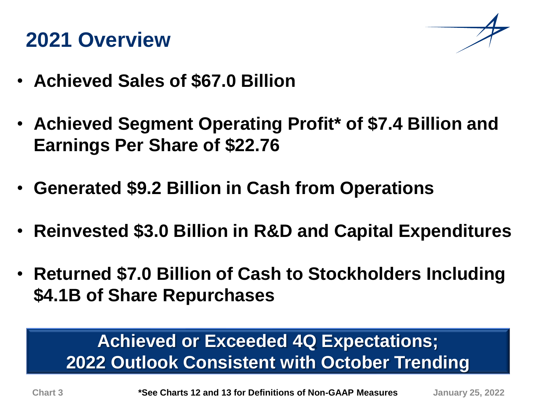# **2021 Overview**



- **Achieved Sales of \$67.0 Billion**
- **Achieved Segment Operating Profit\* of \$7.4 Billion and Earnings Per Share of \$22.76**
- **Generated \$9.2 Billion in Cash from Operations**
- **Reinvested \$3.0 Billion in R&D and Capital Expenditures**
- **Returned \$7.0 Billion of Cash to Stockholders Including \$4.1B of Share Repurchases**

# **Achieved or Exceeded 4Q Expectations; 2022 Outlook Consistent with October Trending**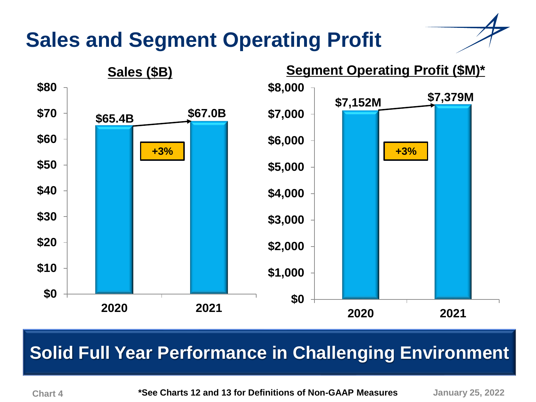# **Sales and Segment Operating Profit**



## **Solid Full-Year Performance Solid Full Year Performance in Challenging Environment**

**Chart 4 January 25, 2022 \*See Charts 12 and 13 for Definitions of Non-GAAP Measures**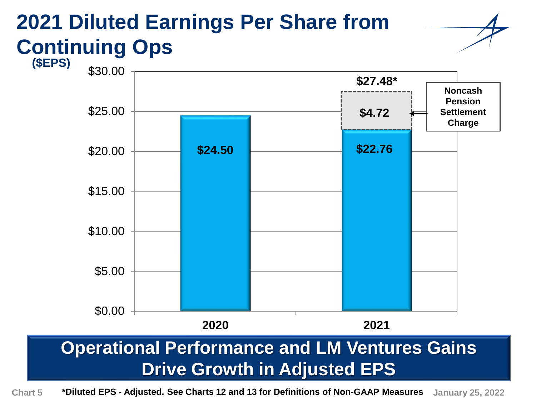### **2021 Diluted Earnings Per Share from Continuing Ops (\$EPS)**



# **Operational Performance and LM Ventures Gains Drive Growth in Adjusted EPS**

**Chart 5 \*Diluted EPS - Adjusted. See Charts 12 and 13 for Definitions of Non-GAAP Measures January 25, 2022**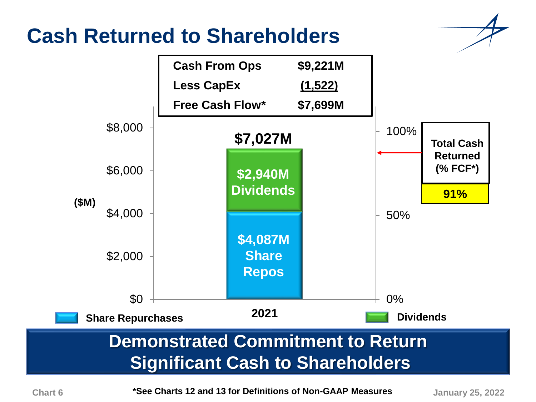# **Cash Returned to Shareholders**





**\*See Charts 12 and 13 for Definitions of Non-GAAP Measures Chart 6 January 25, 2022**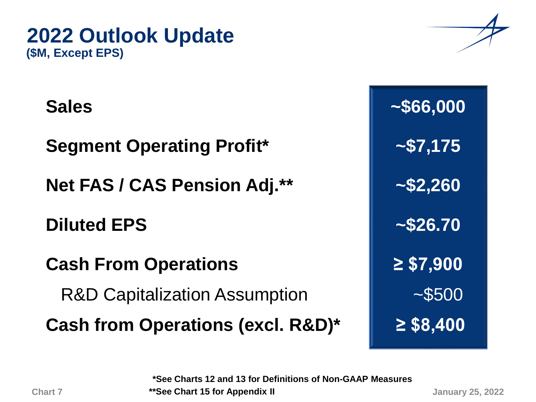

### **2022 Outlook Update (\$M, Except EPS)**

**Segment Operating Profit\* ~\$7,175**

**Net FAS / CAS Pension Adj.\*\* ~\$2,260**

**Diluted EPS ~\$26.70**

**Cash From Operations ≥ \$7,900**

R&D Capitalization Assumption **Fig. 1**  $\sim$  \$500

**Cash from Operations (excl. R&D)\* ≥ \$8,400**

Sales **8.12.23 | 2000** 

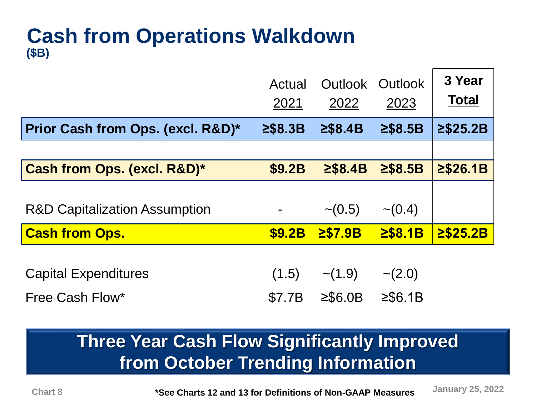### **Cash from Operations Walkdown (\$B)**

|                                          | Actual<br>2021 | Outlook<br>2022 | Outlook<br>2023 | 3 Year<br><b>Total</b> |
|------------------------------------------|----------------|-----------------|-----------------|------------------------|
| Prior Cash from Ops. (excl. R&D)*        | $\geq$ \$8.3B  | 2\$8.4B         | $\geq$ \$8.5B   | 2\$25.2B               |
|                                          |                |                 |                 |                        |
| Cash from Ops. (excl. R&D)*              | <b>\$9.2B</b>  | $\geq$ \$8.4B   | $\geq$ \$8.5B   | 2\$26.1B               |
|                                          |                |                 |                 |                        |
| <b>R&amp;D Capitalization Assumption</b> |                | $\sim (0.5)$    | $\sim (0.4)$    |                        |
| <b>Cash from Ops.</b>                    | <b>\$9.2B</b>  | $2$ \$7.9B      | $2$ \$8.1B      | $2$ \$25.2B            |
| <b>Capital Expenditures</b>              | (1.5)          | $\sim$ (1.9)    | $\sim$ (2.0)    |                        |

Free Cash Flow\*  $$7.7B$   $\geq$  \$6.0B  $\geq$  \$6.1B

# **Three Year Cash Flow Significantly Improved from October Trending Information**

**Chart January 25, 2022 8 \*See Charts 12 and 13 for Definitions of Non-GAAP Measures**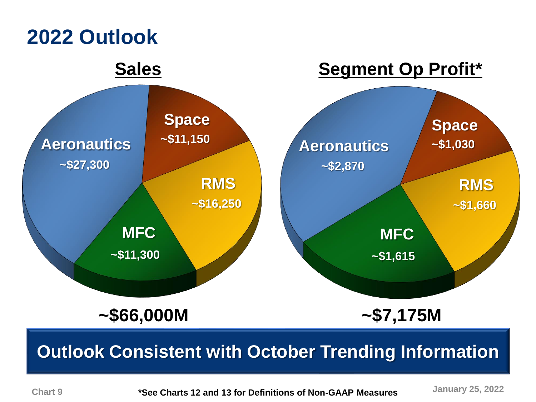

### **Chart 9**

**\*See Charts 12 and 13 for Definitions of Non-GAAP Measures**

**January 25, 2022**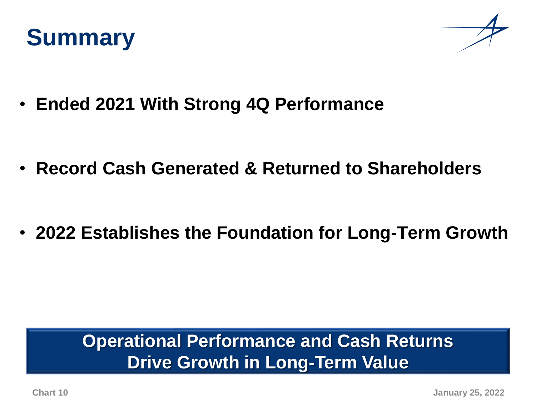



• **Ended 2021 With Strong 4Q Performance**

• **Record Cash Generated & Returned to Shareholders**

• **2022 Establishes the Foundation for Long-Term Growth**

## **Operational Performance and Cash Returns Drive Growth in Long-Term Value**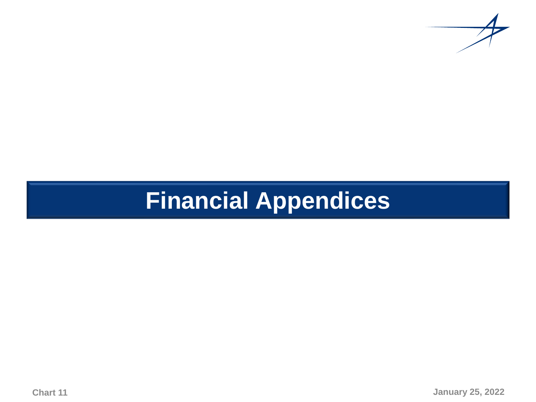

# **Financial Appendices**

**Chart 11**

**January 25, 2022**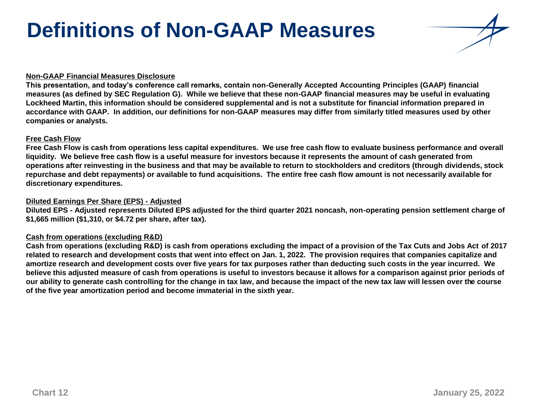# **Definitions of Non-GAAP Measures**

#### **Non-GAAP Financial Measures Disclosure**

**This presentation, and today's conference call remarks, contain non-Generally Accepted Accounting Principles (GAAP) financial measures (as defined by SEC Regulation G). While we believe that these non-GAAP financial measures may be useful in evaluating Lockheed Martin, this information should be considered supplemental and is not a substitute for financial information prepared in accordance with GAAP. In addition, our definitions for non-GAAP measures may differ from similarly titled measures used by other companies or analysts.**

#### **Free Cash Flow**

**Free Cash Flow is cash from operations less capital expenditures. We use free cash flow to evaluate business performance and overall liquidity. We believe free cash flow is a useful measure for investors because it represents the amount of cash generated from operations after reinvesting in the business and that may be available to return to stockholders and creditors (through dividends, stock repurchase and debt repayments) or available to fund acquisitions. The entire free cash flow amount is not necessarily available for discretionary expenditures.**

#### **Diluted Earnings Per Share (EPS) - Adjusted**

**Diluted EPS - Adjusted represents Diluted EPS adjusted for the third quarter 2021 noncash, non-operating pension settlement charge of \$1,665 million (\$1,310, or \$4.72 per share, after tax).**

### **Cash from operations (excluding R&D)**

**Cash from operations (excluding R&D) is cash from operations excluding the impact of a provision of the Tax Cuts and Jobs Act of 2017 related to research and development costs that went into effect on Jan. 1, 2022. The provision requires that companies capitalize and amortize research and development costs over five years for tax purposes rather than deducting such costs in the year incurred. We believe this adjusted measure of cash from operations is useful to investors because it allows for a comparison against prior periods of our ability to generate cash controlling for the change in tax law, and because the impact of the new tax law will lessen over the course of the five year amortization period and become immaterial in the sixth year.**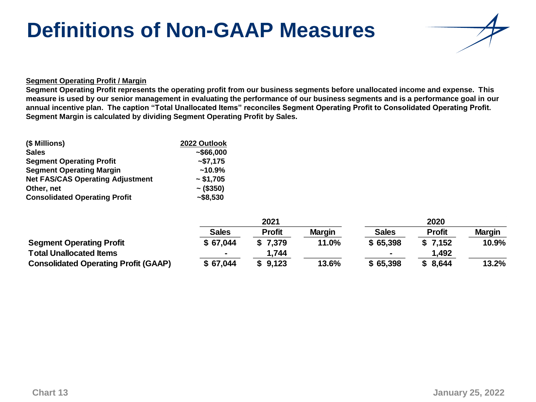# **Definitions of Non-GAAP Measures**



#### **Segment Operating Profit / Margin**

**Segment Operating Profit represents the operating profit from our business segments before unallocated income and expense. This measure is used by our senior management in evaluating the performance of our business segments and is a performance goal in our annual incentive plan. The caption "Total Unallocated Items" reconciles Segment Operating Profit to Consolidated Operating Profit. Segment Margin is calculated by dividing Segment Operating Profit by Sales.** 

| (\$ Millions)                           | 2022 Outlook   |
|-----------------------------------------|----------------|
| <b>Sales</b>                            | ~566,000       |
| <b>Segment Operating Profit</b>         | $-$ \$7,175    |
| <b>Segment Operating Margin</b>         | $~10.9\%$      |
| <b>Net FAS/CAS Operating Adjustment</b> | ~51,705        |
| Other, net                              | $\sim$ (\$350) |
| <b>Consolidated Operating Profit</b>    | $-$ \$8,530    |

|                                             |              | 2021          |               |                | 2020          |               |
|---------------------------------------------|--------------|---------------|---------------|----------------|---------------|---------------|
|                                             | <b>Sales</b> | <b>Profit</b> | <b>Margin</b> | <b>Sales</b>   | <b>Profit</b> | <b>Margin</b> |
| <b>Segment Operating Profit</b>             | \$67,044     | \$7,379       | 11.0%         | \$65,398       | \$7,152       | 10.9%         |
| <b>Total Unallocated Items</b>              |              | 1,744         |               | $\blacksquare$ | 1,492         |               |
| <b>Consolidated Operating Profit (GAAP)</b> | \$67,044     | \$9,123       | 13.6%         | \$65,398       | \$8,644       | 13.2%         |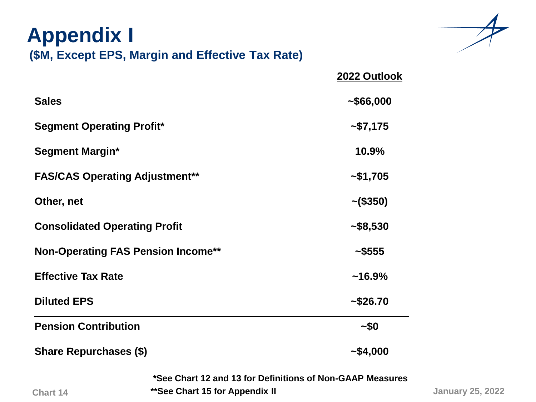| <b>Appendix I</b>                         | (\$M, Except EPS, Margin and Effective Tax Rate)                                             |                |
|-------------------------------------------|----------------------------------------------------------------------------------------------|----------------|
|                                           |                                                                                              | 2022 Outlook   |
| <b>Sales</b>                              |                                                                                              | ~1000          |
| <b>Segment Operating Profit*</b>          |                                                                                              | ~57,175        |
| <b>Segment Margin*</b>                    |                                                                                              | 10.9%          |
| <b>FAS/CAS Operating Adjustment**</b>     |                                                                                              | ~1,705         |
| Other, net                                |                                                                                              | $\sim$ (\$350) |
| <b>Consolidated Operating Profit</b>      |                                                                                              | ~1.58,530      |
| <b>Non-Operating FAS Pension Income**</b> |                                                                                              | ~1.5555        |
| <b>Effective Tax Rate</b>                 |                                                                                              | $~16.9\%$      |
| <b>Diluted EPS</b>                        |                                                                                              | ~1.526.70      |
| <b>Pension Contribution</b>               |                                                                                              | $-50$          |
| <b>Share Repurchases (\$)</b>             |                                                                                              | ~1.000         |
| <b>Chart 14</b>                           | *See Chart 12 and 13 for Definitions of Non-GAAP Measures<br>** See Chart 15 for Appendix II |                |



**January 25, 2022**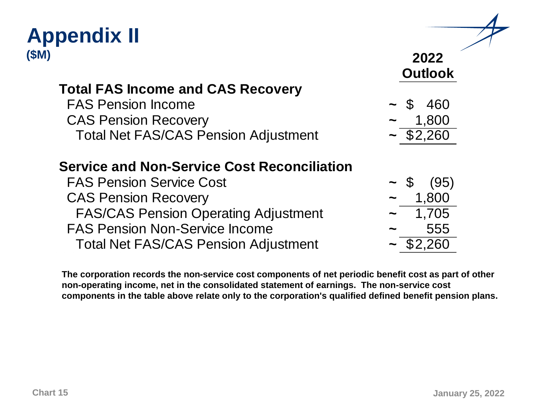### **Appendix II (\$M)**

### **Total FAS Income and CAS Recovery**

**FAS Pension Income CAS Pension Recovery** Total Net FAS/CAS Pension Adjustment

### **Service and Non-Service Cost Reconciliation**

**FAS Pension Service Cost CAS Pension Recovery** FAS/CAS Pension Operating Adjustment **<sup>~</sup>** 1,705 FAS Pension Non-Service Income **<sup>~</sup>** 555 Total Net FAS/CAS Pension Adjustment **<sup>~</sup>** \$2,260

**The corporation records the non-service cost components of net periodic benefit cost as part of other non-operating income, net in the consolidated statement of earnings. The non-service cost components in the table above relate only to the corporation's qualified defined benefit pension plans.** 

|                 | 2022           |
|-----------------|----------------|
|                 | <b>Outlook</b> |
|                 |                |
| ${\mathbb S}^-$ | 460            |
|                 | 1,800          |
|                 | \$2,260        |
|                 |                |
|                 |                |
| \$              | (95)           |
|                 | 1,800          |
|                 | 1,705          |
|                 | c c c          |